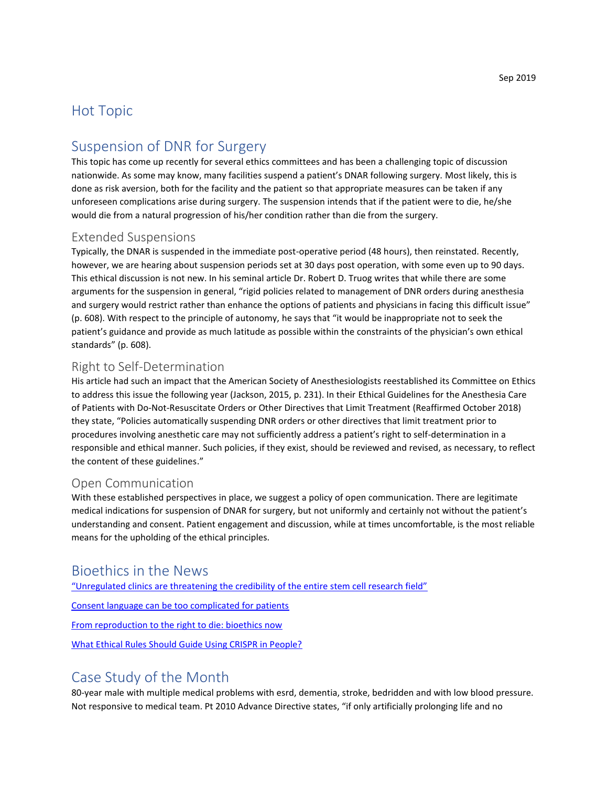## Hot Topic

## Suspension of DNR for Surgery

This topic has come up recently for several ethics committees and has been a challenging topic of discussion nationwide. As some may know, many facilities suspend a patient's DNAR following surgery. Most likely, this is done as risk aversion, both for the facility and the patient so that appropriate measures can be taken if any unforeseen complications arise during surgery. The suspension intends that if the patient were to die, he/she would die from a natural progression of his/her condition rather than die from the surgery.

### Extended Suspensions

Typically, the DNAR is suspended in the immediate post-operative period (48 hours), then reinstated. Recently, however, we are hearing about suspension periods set at 30 days post operation, with some even up to 90 days. This ethical discussion is not new. In his seminal article Dr. Robert D. Truog writes that while there are some arguments for the suspension in general, "rigid policies related to management of DNR orders during anesthesia and surgery would restrict rather than enhance the options of patients and physicians in facing this difficult issue" (p. 608). With respect to the principle of autonomy, he says that "it would be inappropriate not to seek the patient's guidance and provide as much latitude as possible within the constraints of the physician's own ethical standards" (p. 608).

### Right to Self-Determination

His article had such an impact that the American Society of Anesthesiologists reestablished its Committee on Ethics to address this issue the following year (Jackson, 2015, p. 231). In their Ethical Guidelines for the Anesthesia Care of Patients with Do-Not-Resuscitate Orders or Other Directives that Limit Treatment (Reaffirmed October 2018) they state, "Policies automatically suspending DNR orders or other directives that limit treatment prior to procedures involving anesthetic care may not sufficiently address a patient's right to self-determination in a responsible and ethical manner. Such policies, if they exist, should be reviewed and revised, as necessary, to reflect the content of these guidelines."

### Open Communication

With these established perspectives in place, we suggest a policy of open communication. There are legitimate medical indications for suspension of DNAR for surgery, but not uniformly and certainly not without the patient's understanding and consent. Patient engagement and discussion, while at times uncomfortable, is the most reliable means for the upholding of the ethical principles.

## Bioethics in the News

"U[nregulated clinics are threatening the credibility of the entire stem cell research field"](https://www.kansascity.com/news/business/health-care/article233635472.html)

[Consent language can be too complicated for patients](https://www.bioedge.org/bioethics/consent-language-can-be-too-complicated-for-patients/13177)

[From reproduction to the right to die: bioethics now](https://www.nature.com/articles/d41586-019-02412-y)

[What Ethical Rules Should Guide Using CRISPR in People?](https://www.futurity.org/crispr-babies-podcast-2139182/)

## Case Study of the Month

80-year male with multiple medical problems with esrd, dementia, stroke, bedridden and with low blood pressure. Not responsive to medical team. Pt 2010 Advance Directive states, "if only artificially prolonging life and no